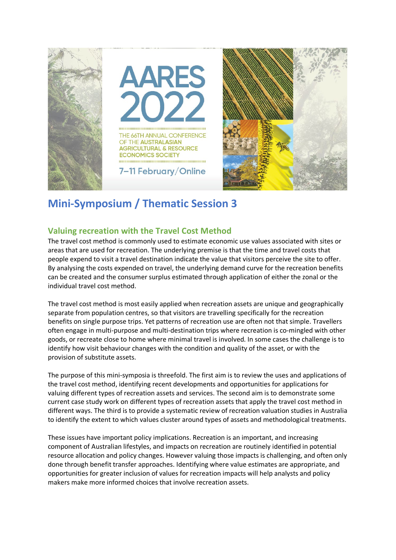

## **Mini-Symposium / Thematic Session 3**

## **Valuing recreation with the Travel Cost Method**

The travel cost method is commonly used to estimate economic use values associated with sites or areas that are used for recreation. The underlying premise is that the time and travel costs that people expend to visit a travel destination indicate the value that visitors perceive the site to offer. By analysing the costs expended on travel, the underlying demand curve for the recreation benefits can be created and the consumer surplus estimated through application of either the zonal or the individual travel cost method.

The travel cost method is most easily applied when recreation assets are unique and geographically separate from population centres, so that visitors are travelling specifically for the recreation benefits on single purpose trips. Yet patterns of recreation use are often not that simple. Travellers often engage in multi-purpose and multi-destination trips where recreation is co-mingled with other goods, or recreate close to home where minimal travel is involved. In some cases the challenge is to identify how visit behaviour changes with the condition and quality of the asset, or with the provision of substitute assets.

The purpose of this mini-symposia is threefold. The first aim is to review the uses and applications of the travel cost method, identifying recent developments and opportunities for applications for valuing different types of recreation assets and services. The second aim is to demonstrate some current case study work on different types of recreation assets that apply the travel cost method in different ways. The third is to provide a systematic review of recreation valuation studies in Australia to identify the extent to which values cluster around types of assets and methodological treatments.

These issues have important policy implications. Recreation is an important, and increasing component of Australian lifestyles, and impacts on recreation are routinely identified in potential resource allocation and policy changes. However valuing those impacts is challenging, and often only done through benefit transfer approaches. Identifying where value estimates are appropriate, and opportunities for greater inclusion of values for recreation impacts will help analysts and policy makers make more informed choices that involve recreation assets.